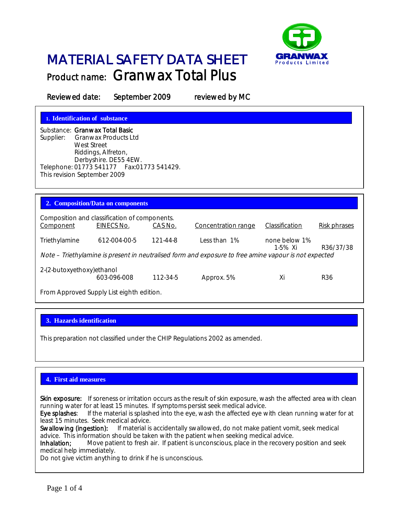

### MATERIAL SAFETY DATA SHEET Product name: Granwax Total Plus

Reviewed date: September 2009 reviewed by MC

**1. Identification of substance**

Substance: Granwax Total Basic Supplier: Granwax Products Ltd West Street Riddings, Alfreton, Derbyshire. DE55 4EW. Telephone: 01773 541177 Fax:01773 541429. This revision September 2009

### **2. Composition/Data on components**

| Component                  | Composition and classification of components.<br>EINECS No. | CAS No.  | Concentration range                                                                                   | Classification           | Risk phrases |
|----------------------------|-------------------------------------------------------------|----------|-------------------------------------------------------------------------------------------------------|--------------------------|--------------|
| Triethylamine              | 612-004-00-5                                                | 121-44-8 | Less than 1%                                                                                          | none below 1%<br>1-5% Xi | R36/37/38    |
|                            |                                                             |          | Note – Triethylamine is present in neutralised form and exposure to free amine vapour is not expected |                          |              |
| 2-(2-butoxyethoxy) ethanol | 603-096-008                                                 | 112-34-5 | Approx. 5%                                                                                            | Xi                       | R36          |
|                            | From Approved Supply List eighth edition.                   |          |                                                                                                       |                          |              |

### **3. Hazards identification**

This preparation not classified under the CHIP Regulations 2002 as amended.

### **4. First aid measures**

Skin exposure: If soreness or irritation occurs as the result of skin exposure, wash the affected area with clean running water for at least 15 minutes. If symptoms persist seek medical advice.<br>Eye splashes: If the material is splashed into the eye, wash the affected eye w

If the material is splashed into the eye, wash the affected eye with clean running water for at least 15 minutes. Seek medical advice.

Swallowing (ingestion): If material is accidentally swallowed, do not make patient vomit, seek medical advice. This information should be taken with the patient when seeking medical advice.<br>Inhalation: Move patient to fresh air. If patient is unconscious, place in the recovery

Move patient to fresh air. If patient is unconscious, place in the recovery position and seek medical help immediately.

Do not give victim anything to drink if he is unconscious.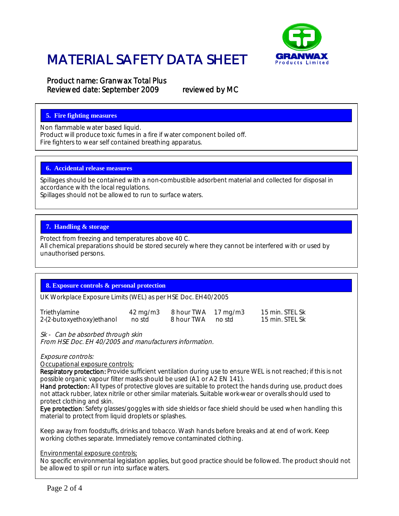

# MATERIAL SAFETY DATA SHEET

Product name: Granwax Total Plus Reviewed date: September 2009 reviewed by MC

### **5. Fire fighting measures**

Non flammable water based liquid. Product will produce toxic fumes in a fire if water component boiled off. Fire fighters to wear self contained breathing apparatus.

### **6. Accidental release measures**

Spillages should be contained with a non-combustible adsorbent material and collected for disposal in accordance with the local regulations.

Spillages should not be allowed to run to surface waters.

### **7. Handling & storage**

Protect from freezing and temperatures above 40 C. All chemical preparations should be stored securely where they cannot be interfered with or used by unauthorised persons.

### **8. Exposure controls & personal protection**

UK Workplace Exposure Limits (WEL) as per HSE Doc. EH40/2005

| Triethylamine             | 42 mg/m3 | 8 hour TWA 17 mg/m3 | 15 min. STEL Sk |
|---------------------------|----------|---------------------|-----------------|
| 2-(2-butoxyethoxy)ethanol | no std   | 8 hour TWA no std   | 15 min. STEL Sk |

Sk - Can be absorbed through skin

From HSE Doc. EH 40/2005 and manufacturers information.

Exposure controls:

Occupational exposure controls;

Respiratory protection: Provide sufficient ventilation during use to ensure WEL is not reached; if this is not possible organic vapour filter masks should be used (A1 or A2 EN 141).

Hand protection: All types of protective gloves are suitable to protect the hands during use, product does not attack rubber, latex nitrile or other similar materials. Suitable work-wear or overalls should used to protect clothing and skin.

Eye protection: Safety glasses/goggles with side shields or face shield should be used when handling this material to protect from liquid droplets or splashes.

Keep away from foodstuffs, drinks and tobacco. Wash hands before breaks and at end of work. Keep working clothes separate. Immediately remove contaminated clothing.

Environmental exposure controls;

No specific environmental legislation applies, but good practice should be followed. The product should not be allowed to spill or run into surface waters.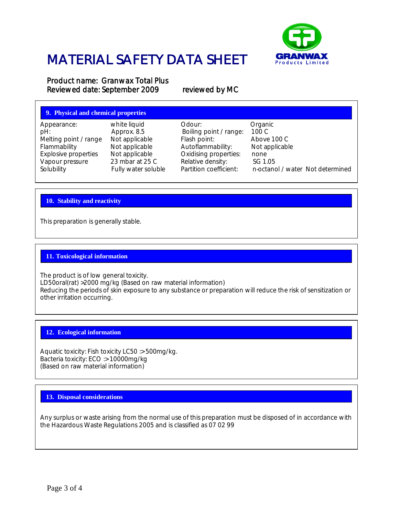

## MATERIAL SAFETY DATA SHEET

Product name: Granwax Total Plus Reviewed date: September 2009 reviewed by MC

| 9. Physical and chemical properties |  |  |
|-------------------------------------|--|--|
|                                     |  |  |

| Appearance:           |
|-----------------------|
| pH:                   |
| Melting point / range |
| Flammability          |
| Explosive properties  |
| Vapour pressure       |
| Solubility            |
|                       |

white liquid **Odour:** Odour: Organic pH: Approx. 8.5 Boiling point / range: 100 C Not applicable Flash point: Above 100 C<br>
Not applicable Autoflammability: Not applicable Not applicable Autoflammability:<br>
Not applicable Cxidising properties Not applicable Coxidising properties: none<br>23 mbar at 25 C Relative density: SG 1. 23 mbar at 25 C Relative density: SG 1.05<br>
Fully water soluble Partition coefficient: n-octand

n-octanol / water Not determined

### **10. Stability and reactivity**

This preparation is generally stable.

### **11. Toxicological information**

The product is of low general toxicity. LD50oral(rat) >2000 mg/kg (Based on raw material information) Reducing the periods of skin exposure to any substance or preparation will reduce the risk of sensitization or other irritation occurring.

### **12. Ecological information**

Aquatic toxicity: Fish toxicity LC50 :> 500mg/kg. Bacteria toxicity: ECO :> 10000mg/kg (Based on raw material information)

### **13. Disposal considerations**

Any surplus or waste arising from the normal use of this preparation must be disposed of in accordance with the Hazardous Waste Regulations 2005 and is classified as 07 02 99